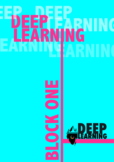# **DEEP DEEP LEARNING LEARNING LEARNING LEARNING DEEP**

**BLOCK ONE** 

**AD EEP** 

**Property**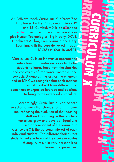**CURRICULUM X 1999** At ICHK we teach Curriculum X in Years 7 to 11, followed by the IB Diploma in Years 12 and 13. Curriculum X is an eXtended Curriculum, comprising the conventional core plus Human Technologies, Big History, DCVT, Enrichment & Flow, Free Learning and Deep Learning; with the core delivered through IGCSEs in Year 10 and 11.

**REACTION AND SECTION X** 

**CURRICULUM** 

**CURRICULUM X CURRICULUM X** 

**CURRICULUM X ACURACULUM** 

**CURRICULUM X X X X X X X** 

"Curriculum X", is an innovative approach to education. It provides an opportunity for students to learn, freed from the shackles and constraints of traditional timetables and subjects. X denotes mystery or the unknown and at ICHK we recognise that each teacher and student will have different and sometimes unexpected interests and passions to bring to the extended curriculum.

Accordingly, Curriculum X is an eclectic selection of units that changes and shifts over time, reflecting the evolution of the teaching staff and morphing as the teachers themselves grow and develop. Equally, a major component of the learning in Curriculum X is the personal interest of each individual student. The different choices that students make in terms of their units or routes of enquiry result in very personalised learning experiences.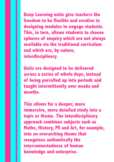**Deep Learning units give teachers the freedom to be flexible and creative in designing modules to engage students. This, in turn, allows students to choose spheres of enquiry which are not always available via the traditional curriculum and which are, by nature, interdisciplinary.** 

**Units are designed to be delivered across a series of whole days, instead of being parcelled up into periods and taught intermittently over weeks and months.** 

**This allows for a deeper, more immersive, more detailed study into a topic or theme. The interdisciplinary approach combines subjects such as Maths, History, PE and Art, for example, into an overarching theme that recognises authentically the interconnectedness of human knowledge and enterprise.**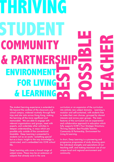# **THRIVING STUDENT BEST POSSIBLE TEACHER COMMUNIT** & PARTNERS **ENVIRONME FOR LIVING**   $\&$  **LEARNI**

The student learning experience is extended to life beyond the confines of the classroom and school campus, widened routinely through field trips and site visits across Hong Kong, making the learning all the more significant and memorable. We are able to engage with relevant organisations and groups, meet with experts, and undertake other activities to deepen understanding, in ways which are possible only outside of the conventional timetable. Deep Learning is presented to students not as an exotic 'something special' but as a basic insight to the way knowledge is constructed, and is embedded into ICHK school life.

Deep Learning units cover a broad range of subject areas. These may be an extension of subjects that already exist in the core

curriculum or an expansion of the curriculum into entirely new subject domains. Learning is modular and self-contained, with students free to make their own choices, grouped by shared interests and across year groups. The main features of this curriculum are an experiential and collaborative approach to education which fully supports ICHK's Four Strategic Directions: Thriving Student, Best Possible Teacher, Community & Partnership, Environment for Living & Learning.

In short, Deep Learning is a pioneering and progressive programme of study drawing upon the individual strengths and specialisms of our teaching staff, and making maximum use of our unique local and regional environment and community.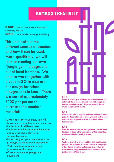## **BAMBOO CREATIVITY**

**MAJOR:** Science, Construction, Teamwork, Creativity, Service **MINOR:** Sustainability, Ecology, Modelling

This unit looks at the different species of bamboo and how it can be used. More specifically, we will look at creating our own "jungle gym" playground out of local bamboo. We plan to work together with a Laos NGO to also use our design for school playgrounds in Laos. There is a cost of approximately \$100 per person to purchase the bamboo materials.

By the end of the four days, you will:

- •Know more about the bamboo species
- •Understand its different uses
- •Understand what sustainability means and role bamboo plays in a sustainable model
- •Have designed your own model as a prototype of playground equipment
- •Visit a bamboo supplier to buy resources for the project
- •Created a piece of playground equipment



### **Day 1**

**Based in school, you will learn about bamboo and the nature of the proposed project. You will design and make a model prototype. Together, we will decide which design we will create.**

### **DAY 2**

**We will visit a local supplier and source material for our project. Upon returning to school, we will look around the local area at potential sites of interest where bamboo grows.**

### **DAY 3**

**With the material that we have gathered, we will work together to build a life size version of the model that we have decided to build, at school.**

### **DAY 4**

**Continue to work at school building and finishing our project. We will need to create a record of our project with a design template and instructions on how to construct the playground equipment and send to our partner schools/NGO in Laos.**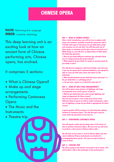# **BAMBOO CREATIVITY CHINESE OPERA**

**MAJOR:** Performing Arts, Language **MINOR:** Creativity, Mythology

This deep learning unit is an exciting look at how an ancient form of Chinese performing arts, Chinese opera, has evolved.

It comprises 5 sections:

- What is Chinese Opera?
- Make up and stage arrangements
- Performing Cantonese Opera
- The Music and the **Instruments**
- Theatre trip.

### **DAY 1 - WHAT IS CHINESE OPERA?**

**After a brief introduction, you will be free to explore with props and costumes available around the classroom and to consider what type of characters do you think these props and costumes are for and why? You will then pick one of these props or costumes and be given time to research on it. While doing so, you will have an opportunity to think about the following questions:** 

**● How do you think different emotions get conveyed when you are using/wearing this prop/costume?** 

**● What material do you think it is made of and how much do you think it costs?** 

**You will then be assigned a clip from YouTube each and even if you do not speak much Cantonese/Mandarin, you should be able to come up with some views and report on the following:** 

**● What mood/emotions do you think this piece portrays? i.e. Do you think this is a sad/happy piece?** 

**● Can you have a guess as to what the story line is?**

### **DAY 2 - MAKE UP AND STAGE ARRANGEMENTS**

**You will be given some pictures of lightings and stage arrangements from actual operas to look at:** 

**● Why do you think they have used certain lightings and stage arrangements for those scenes? You will also be given a few scripts from scenes from different Chinese operas to look at (with translations), what sort of lighting or props do you think is appropriate for these scenes?** 

**A guest speaker will be coming in to talk about the makeup involved in Cantonese Opera. You will also get to put on some make-up yourselves if you want to.** 

### **DAY 3 - PERFORMING CANTONESE OPERA**

**You will spend a whole day learning some of the basics of how to perform Cantonese Opera. We may even try and learn to perform a short poem in Chinese Opera style…** 

**We will look at how music is read in Chinese Opera and also what traditional Chinese instruments are involved in accompanying these operas. You may even get to play on some of them.**

### **DAY 4 - THEATRE TRIP**

**We will be going to the theatre and watch it all in action. This will include a trip to the backstage of the performance!**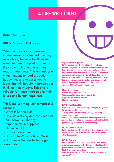# **A LIFE WELL LIVED**

### **MAJOR:** Philosophy

**MINOR:** Economics, Environment

Whilst economics, business and consumerism have helped humans, as a whole, become healthier and wealthier over the past 200 years, they have failed in one glaring regard: happiness. This unit ask you what it means to lead a good, happy life, and exposes you to ideas that will hopefully stretch your thinking in new ways. This unit is suitable for those interested in their future and human happiness.

This Deep Learning unit comprises 8 sections:

- •What is happiness?
- •How advertising and consumerism can make us unhappy
- •Experiments in happiness
- •The minimal life
- •Career vs vocation
- •Hands On Work vs Brain Work
- •Happiness Human Technologies
- •Your Life

### **Day 1 - What is Happiness?**

**In this section we will take a look at advertising, fashion, magazine covers and creating demand. We will learn that perhaps we are being manipulated to feel less than satisfied and we will consider what happiness really is as well as some stories of things that human did not used to "need", but now we feel we do such as hair dressers, restaurants, mobile phones and tablets. We will do some experiments that let us feel and compare different types of happiness:**

### **Fleeting happiness**

**Mindful/relaxation happiness Companionship, kindness and positivity Happiness through action/flow Pleasure saturation**

### **DAY 2 - The Minimal Life**

**We will examine different lifestyles and you are going to work on two things: Taking a life/stuff inventory - listing absolutely everything you own Paring down to the essentials - reducing your list to just the things you feel are important and contribute to your ongoing happiness as a human being.**

### **DAY 3 - Career vs Purpose**

**In this section we will take a trip to Crossroads to look at people who have made a choice to work for things other than money.**

### **DAY 4 - Your Life**

**In this final section you will spend some time, alone, in a natural environment, reflecting on and thinking about your own life. Your aim is to formulate a plan about the kind of life you want to live.** 

**What decisions will you need to make to craft the life you want?**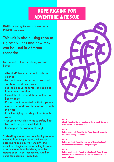### **BAMBOO CREATIVITY I**<br>BAMBOO CREATIVITY OF DECATIVE **ROPE RIGGING FOR ADVENTURE & RESCUE**

**MAJOR:** Abseiling, Ropework, Science, Maths, **MINOR:** Teamwork

This unit is about using rope to rig safety lines and how they can be used in different scenarios.

By the end of the four days, you will have:

- •Abseiled\* from the school roofs and ceilings
- •Learned how to set up an abseil and safely abseil down a rope
- •Learned about the forces on rope and how to measure them
- •Calculated force and the effect tension has on rope
- •Know about the materials that rope are made from and how the material affects their use
- •Practiced tying a variety of knots with rope
- •Set up various rigs to make safety lines
- •Learned and practiced first aid techniques for working at height

\* Abseiling is when you use climbing rope to descend from height. Rock climbers use abseiling to come down from cliffs and mountains. Engineers use abseiling to come down the outside of buildings, to make repairs or carry out inspections. Another name for abseiling is rapelling.



### **DAY 1**

**Abseil from the Library landing to the ground. Set up a basic anchor for an abseil rope.** 

### **DAY 2**

**Set up and abseil from the 3rd floor. You will calculate the forces acting on anchors.**

### **DAY 3**

**Set up an abseil from the very top of the school roof. Learn some first aid for working at height.**

### **DAY 4**

**Set up slant abseils from the school roof. You will learn how to calculate the effect of tension on the forces in rope systems.**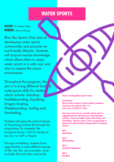# **BAMBOO EXAMPLE R** SPORTS **ADVENTURE & RESERVE**

**MAJOR:** PE, Water Safety **MINOR: Marine Biology** 

Blue Sky Sports Club aims at developing water sports communities and promote an eco-friendly lifestyle. Students will acquire marine knowledge which allows them to enjoy water sports in a safe way and also to respect the ocean environment.

Throughout the program, the aim is to bring different kind of watersports skills for student which include: Stand-up Paddleboarding, Kayaking, Dragon Boating, Wakeboarding, Surfing and Snorkelling.

Students will enjoy the natural beauty of Hong Kong marine life through the programme, for example, the mangrove forest / Yim Tin during an eco tour on SUP or Kayak.

Through snorkelling, students have opportunities to meet different species of fish, star fish, sea cucumber, coral and jelly fish and other marine life.

**Venue: Sai Kung Water Sports Centre**

**Participants: Must be able to swim 25 meter without assistance Instructor and students ratio: 1:8 Course Fee: \$4,000 for 4 days**

**Each day is focussed on a specific activity and it is suggested that we will take part in the following activities: Stand-up Paddle, Kayak, Wake Board, and Snorkelling. However, there is also an opportunity to take part in either Surfing or Dragon Boat if the group desires.**

**DAY 1 Snorkelling**

**DAY 2 Wakeboarding**

**DAY 3 Stand Up Paddleboard**

**DAY 4 Kayaking**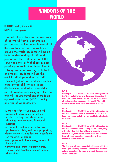# **BAMBOO CREATIVITY SUPPORT FOR A PROPERTY ADVENTURE & RESPONSE & RESPONSE & RESPONSE & RESPONSE & RESPONSE & RESPONSE & RESPONSE & RESPONSE & RESPONSE & RESPONSE & RESPONSE & RESPONSE & RESPONSE & RESPONSE & RESPONSE & RESPONSE & RESPONSE & RESPONSE & RESPONSE &**

**MAJOR:** Maths, Science, PE **MINOR:** Geography

This unit takes us to view the Windows of the World from a mathematical perspective. Looking at scale models of the most famous tourist attractions around the world, students will gain a better understanding of ratio and proportion. The 108 meter tall Eiffel Tower and the Taj Mahal are in close proximity to each other. In addition to solving problems involving scale factors and models, students will use the artificial ski slope and learn to ski. They will gather data and use scientific experimental skills to investigate displacement and velocity, modelling real-life relationships using graphs. This unit will require travel and there is an approximate cost of \$400 for entry and hire of ski equipment.

By the end of the four days, you will:

- •represent ratios found in real-life contexts, using concrete materials, drawings, and standard fractional notation;
- •investigate similarity and solve word problems involving ratio and proportion;
- •learn how to ski and feel more confident on the artificial slope;
- •use appropriate terminology related to kinematics;
- •analyse and interpret position-time, velocity-time graphs of motion in one dimension.



### **DAY 1**

**Meeting at Sheung Shui MTR, we will travel together to the Windows in the World in Shenzhen. Students will have a ski lesson and afterwards visit the scale models of various modern wonders of the world. They will collect data and use it upon their return to school.** 

### **DAY 2**

**Meeting at Sheung Shui MTR, we will travel together to the Windows in the World in Shenzhen. Students will have a ski lesson and afterwards be able to collect data to measure.** 

### **DAY 3**

**Meeting at Sheung Shui MTR, we will travel together to the Windows in the World. During the ski lesson, they will collect data that they will use to calculate displacement, velocity and acceleration. Back at school they will learn more about kinematics, with an emphasis on linear motion.** 

### **DAY 4**

**The final day will again consist of skiing and collecting data. Upon returning to school, students will use their data to learn about the ways to present, interpret and analyze their work.**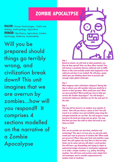# **BAMBOO EXAMPLE APOCALYPSE ZOMBIE APOCALYPSE**

**MAJOR:** Human Technologies, Crafts and Making, Anthropology, Agriculture **MINOR:** Big History, Agriculture, Zombie Mythology, Medicine, Sustainability

Will you be prepared should things go terribly wrong, and civilization break down? This unit imagines that we are overrun by zombies...how will you respond? It comprises 4 sections modelled on the narrative of a Zombie Apocalypse



### **Day 1**

**Based at school, we will look at what pandemics are. How do they spread? How can they affect society? You will choose a particular disease outbreak such as SARS, Ebola or Zika and carefully model what happened in the outbreak and how it was tackled. We will play a game which gets you thinking about how to prevent and manage major global outbreaks.**

### **Day 2**

**What happens when civilisation collapses? During this day at school, you will consider what you would do in answer to that question. What would you save? What are your priorities? What would you save to help you survive the Zombie Apocalypse? You will design a survival kit which you will then use for the next part of the unit.**

### **Day 3**

**This day will be based in an outdoor area outside of school. How will you choose a place to live? You will travel to an outdoor area and establish camp using the salvaged materials we can find. You will prepare a meal based on the food you bring and are given. You may find that you have tins with no label and need to use items we find!**

### **Day 4**

**How can we provide our own food, medicine and technology? This day is set one year on and asks what would you want to preserve of modern life? What could you preserve? Where does your food and medicine come from? You will explore the local flora to find out what foods can be eaten and you will plant a small garden. You will have a go dismantling and trying to repair or understand simple electronic or mechanical equipment or to make a simple machine- e.g. pulley, threshing machine. You will learn and practice some simple first aid techniques and to consider replacements for modern tools of medicine.**